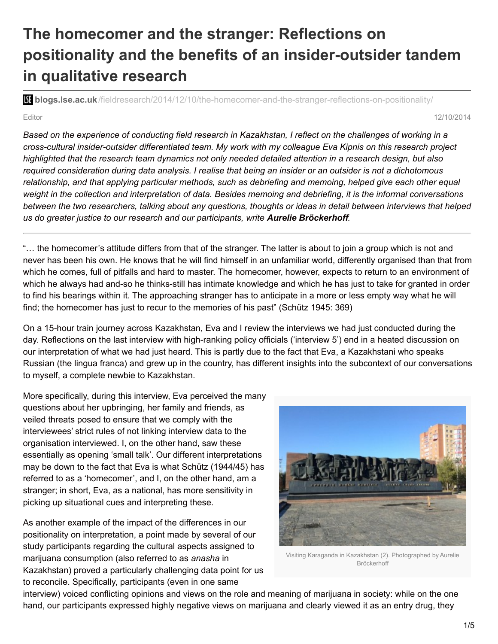# **The homecomer and the stranger: Reflections on positionality and the benefits of an insider-outsider tandem in qualitative research**

**blistic blogs.lse.ac.uk**[/fieldresearch/2014/12/10/the-homecomer-and-the-stranger-reflections-on-positionality/](http://blogs.lse.ac.uk/fieldresearch/2014/12/10/the-homecomer-and-the-stranger-reflections-on-positionality/)

Editor 12/10/2014

Based on the experience of conducting field research in Kazakhstan, I reflect on the challenges of working in a *cross-cultural insider-outsider differentiated team. My work with my colleague Eva Kipnis on this research project* highlighted that the research team dynamics not only needed detailed attention in a research design, but also required consideration during data analysis. I realise that being an insider or an outsider is not a dichotomous *relationship, and that applying particular methods, such as debriefing and memoing, helped give each other equal* weight in the collection and interpretation of data. Besides memoing and debriefing, it is the informal conversations between the two researchers, talking about any questions, thoughts or ideas in detail between interviews that helped *us do greater justice to our research and our participants, write Aurelie Bröckerhoff.*

"… the homecomer's attitude differs from that of the stranger. The latter is about to join a group which is not and never has been his own. He knows that he will find himself in an unfamiliar world, differently organised than that from which he comes, full of pitfalls and hard to master. The homecomer, however, expects to return to an environment of which he always had and-so he thinks-still has intimate knowledge and which he has just to take for granted in order to find his bearings within it. The approaching stranger has to anticipate in a more or less empty way what he will find; the homecomer has just to recur to the memories of his past" (Schütz 1945: 369)

On a 15-hour train journey across Kazakhstan, Eva and I review the interviews we had just conducted during the day. Reflections on the last interview with high-ranking policy officials ('interview 5') end in a heated discussion on our interpretation of what we had just heard. This is partly due to the fact that Eva, a Kazakhstani who speaks Russian (the lingua franca) and grew up in the country, has different insights into the subcontext of our conversations to myself, a complete newbie to Kazakhstan.

More specifically, during this interview, Eva perceived the many questions about her upbringing, her family and friends, as veiled threats posed to ensure that we comply with the interviewees' strict rules of not linking interview data to the organisation interviewed. I, on the other hand, saw these essentially as opening 'small talk'. Our different interpretations may be down to the fact that Eva is what Schütz (1944/45) has referred to as a 'homecomer', and I, on the other hand, am a stranger; in short, Eva, as a national, has more sensitivity in picking up situational cues and interpreting these.

As another example of the impact of the differences in our positionality on interpretation, a point made by several of our study participants regarding the cultural aspects assigned to marijuana consumption (also referred to as *anasha* in Kazakhstan) proved a particularly challenging data point for us to reconcile. Specifically, participants (even in one same



Visiting Karaganda in Kazakhstan (2). Photographed by Aurelie Bröckerhoff

interview) voiced conflicting opinions and views on the role and meaning of marijuana in society: while on the one hand, our participants expressed highly negative views on marijuana and clearly viewed it as an entry drug, they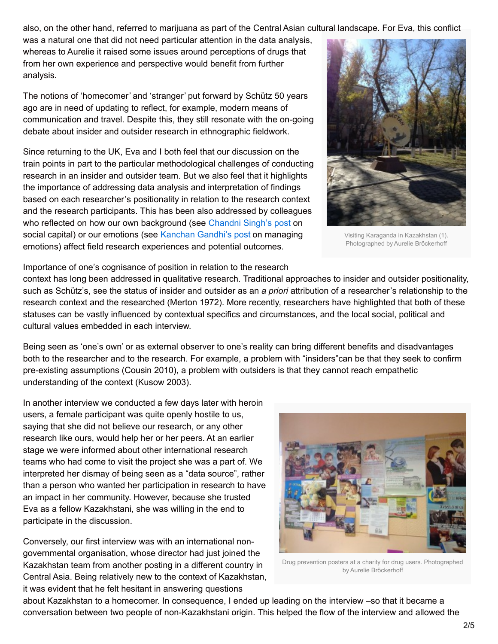also, on the other hand, referred to marijuana as part of the Central Asian cultural landscape. For Eva, this conflict

was a natural one that did not need particular attention in the data analysis, whereas to Aurelie it raised some issues around perceptions of drugs that from her own experience and perspective would benefit from further analysis.

The notions of 'homecomer' and 'stranger' put forward by Schütz 50 years ago are in need of updating to reflect, for example, modern means of communication and travel. Despite this, they still resonate with the on-going debate about insider and outsider research in ethnographic fieldwork.

Since returning to the UK, Eva and I both feel that our discussion on the train points in part to the particular methodological challenges of conducting research in an insider and outsider team. But we also feel that it highlights the importance of addressing data analysis and interpretation of findings based on each researcher's positionality in relation to the research context and the research participants. This has been also addressed by colleagues who reflected on how our own background (see [Chandni](http://blogs.lse.ac.uk/fieldresearch/2014/06/12/researchers-social-capital-liaising-with-local-actors/) Singh's post on social capital) or our emotions (see [Kanchan](http://blogs.lse.ac.uk/fieldresearch/2014/07/11/encountering-interrogating-and-realising-the-self/) Gandhi's post on managing emotions) affect field research experiences and potential outcomes.



Visiting Karaganda in Kazakhstan (1). Photographed by Aurelie Bröckerhoff

Importance of one's cognisance of position in relation to the research

context has long been addressed in qualitative research. Traditional approaches to insider and outsider positionality, such as Schütz's, see the status of insider and outsider as an *a priori* attribution of a researcher's relationship to the research context and the researched (Merton 1972). More recently, researchers have highlighted that both of these statuses can be vastly influenced by contextual specifics and circumstances, and the local social, political and cultural values embedded in each interview.

Being seen as 'one's own' or as external observer to one's reality can bring different benefits and disadvantages both to the researcher and to the research. For example, a problem with "insiders"can be that they seek to confirm pre-existing assumptions (Cousin 2010), a problem with outsiders is that they cannot reach empathetic understanding of the context (Kusow 2003).

In another interview we conducted a few days later with heroin users, a female participant was quite openly hostile to us, saying that she did not believe our research, or any other research like ours, would help her or her peers. At an earlier stage we were informed about other international research teams who had come to visit the project she was a part of. We interpreted her dismay of being seen as a "data source", rather than a person who wanted her participation in research to have an impact in her community. However, because she trusted Eva as a fellow Kazakhstani, she was willing in the end to participate in the discussion.

Conversely, our first interview was with an international nongovernmental organisation, whose director had just joined the Kazakhstan team from another posting in a different country in Central Asia. Being relatively new to the context of Kazakhstan, it was evident that he felt hesitant in answering questions



Drug prevention posters at a charity for drug users. Photographed by Aurelie Bröckerhoff

about Kazakhstan to a homecomer. In consequence, I ended up leading on the interview –so that it became a conversation between two people of non-Kazakhstani origin. This helped the flow of the interview and allowed the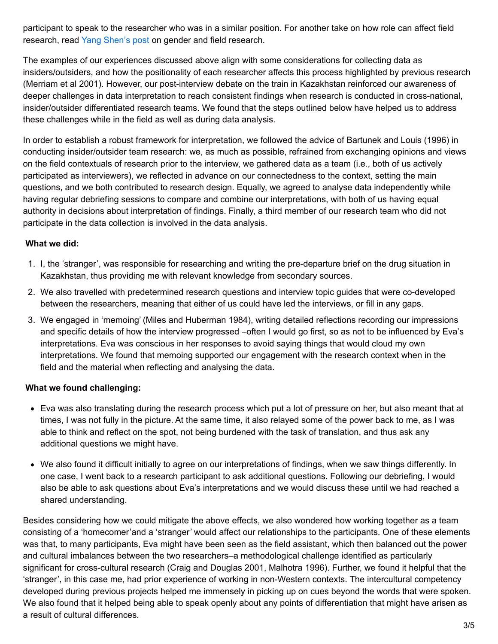participant to speak to the researcher who was in a similar position. For another take on how role can affect field research, read Yang [Shen's](http://blogs.lse.ac.uk/fieldresearch/2014/02/05/gender-and-fieldwork-in-china/ ) post on gender and field research.

The examples of our experiences discussed above align with some considerations for collecting data as insiders/outsiders, and how the positionality of each researcher affects this process highlighted by previous research (Merriam et al 2001). However, our post-interview debate on the train in Kazakhstan reinforced our awareness of deeper challenges in data interpretation to reach consistent findings when research is conducted in cross-national, insider/outsider differentiated research teams. We found that the steps outlined below have helped us to address these challenges while in the field as well as during data analysis.

In order to establish a robust framework for interpretation, we followed the advice of Bartunek and Louis (1996) in conducting insider/outsider team research: we, as much as possible, refrained from exchanging opinions and views on the field contextuals of research prior to the interview, we gathered data as a team (i.e., both of us actively participated as interviewers), we reflected in advance on our connectedness to the context, setting the main questions, and we both contributed to research design. Equally, we agreed to analyse data independently while having regular debriefing sessions to compare and combine our interpretations, with both of us having equal authority in decisions about interpretation of findings. Finally, a third member of our research team who did not participate in the data collection is involved in the data analysis.

#### **What we did:**

- 1. I, the 'stranger', was responsible for researching and writing the pre-departure brief on the drug situation in Kazakhstan, thus providing me with relevant knowledge from secondary sources.
- 2. We also travelled with predetermined research questions and interview topic guides that were co-developed between the researchers, meaning that either of us could have led the interviews, or fill in any gaps.
- 3. We engaged in 'memoing' (Miles and Huberman 1984), writing detailed reflections recording our impressions and specific details of how the interview progressed –often I would go first, so as not to be influenced by Eva's interpretations. Eva was conscious in her responses to avoid saying things that would cloud my own interpretations. We found that memoing supported our engagement with the research context when in the field and the material when reflecting and analysing the data.

### **What we found challenging:**

- Eva was also translating during the research process which put a lot of pressure on her, but also meant that at times, I was not fully in the picture. At the same time, it also relayed some of the power back to me, as I was able to think and reflect on the spot, not being burdened with the task of translation, and thus ask any additional questions we might have.
- We also found it difficult initially to agree on our interpretations of findings, when we saw things differently. In one case, I went back to a research participant to ask additional questions. Following our debriefing, I would also be able to ask questions about Eva's interpretations and we would discuss these until we had reached a shared understanding.

Besides considering how we could mitigate the above effects, we also wondered how working together as a team consisting of a 'homecomer'and a 'stranger' would affect our relationships to the participants. One of these elements was that, to many participants, Eva might have been seen as the field assistant, which then balanced out the power and cultural imbalances between the two researchers–a methodological challenge identified as particularly significant for cross-cultural research (Craig and Douglas 2001, Malhotra 1996). Further, we found it helpful that the 'stranger', in this case me, had prior experience of working in non-Western contexts. The intercultural competency developed during previous projects helped me immensely in picking up on cues beyond the words that were spoken. We also found that it helped being able to speak openly about any points of differentiation that might have arisen as a result of cultural differences.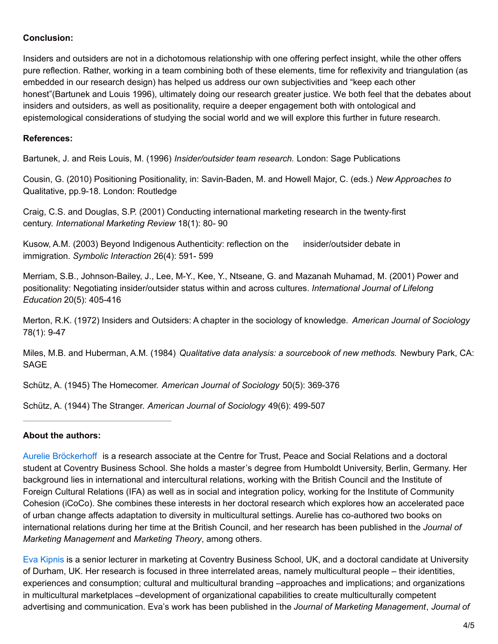### **Conclusion:**

Insiders and outsiders are not in a dichotomous relationship with one offering perfect insight, while the other offers pure reflection. Rather, working in a team combining both of these elements, time for reflexivity and triangulation (as embedded in our research design) has helped us address our own subjectivities and "keep each other honest"(Bartunek and Louis 1996), ultimately doing our research greater justice. We both feel that the debates about insiders and outsiders, as well as positionality, require a deeper engagement both with ontological and epistemological considerations of studying the social world and we will explore this further in future research.

### **References:**

Bartunek, J. and Reis Louis, M. (1996) *Insider/outsider team research.* London: Sage Publications

Cousin, G. (2010) Positioning Positionality, in: Savin-Baden, M. and Howell Major, C. (eds.) *New Approaches to* Qualitative, pp.9-18. London: Routledge

Craig, C.S. and Douglas, S.P. (2001) Conducting international marketing research in the twenty‐first century. *International Marketing Review* 18(1): 80- 90

Kusow, A.M. (2003) Beyond Indigenous Authenticity: reflection on the insider/outsider debate in immigration. *Symbolic Interaction* 26(4): 591- 599

Merriam, S.B., Johnson-Bailey, J., Lee, M-Y., Kee, Y., Ntseane, G. and Mazanah Muhamad, M. (2001) Power and positionality: Negotiating insider/outsider status within and across cultures. *International Journal of Lifelong Education* 20(5): 405-416

Merton, R.K. (1972) Insiders and Outsiders: A chapter in the sociology of knowledge. *American Journal of Sociology* 78(1): 9-47

Miles, M.B. and Huberman, A.M. (1984) *Qualitative data analysis: a sourcebook of new methods.* Newbury Park, CA: SAGE

Schütz, A. (1945) The Homecomer. *American Journal of Sociology* 50(5): 369-376

Schütz, A. (1944) The Stranger. *American Journal of Sociology* 49(6): 499-507

### **About the authors:**

Aurelie [Bröckerhoff](http://www.coventry.ac.uk/research/research-directories/researchers/aurelie-broeckerhoff/) is a research associate at the Centre for Trust, Peace and Social Relations and a doctoral student at Coventry Business School. She holds a master's degree from Humboldt University, Berlin, Germany. Her background lies in international and intercultural relations, working with the British Council and the Institute of Foreign Cultural Relations (IFA) as well as in social and integration policy, working for the Institute of Community Cohesion (iCoCo). She combines these interests in her doctoral research which explores how an accelerated pace of urban change affects adaptation to diversity in multicultural settings. Aurelie has co-authored two books on international relations during her time at the British Council, and her research has been published in the *Journal of Marketing Management* and *Marketing Theory*, among others.

Eva [Kipnis](http://wwwm.coventry.ac.uk/researchnet/cucv/Pages/Profile.aspx?profileID=205) is a senior lecturer in marketing at Coventry Business School, UK, and a doctoral candidate at University of Durham, UK. Her research is focused in three interrelated areas, namely multicultural people – their identities, experiences and consumption; cultural and multicultural branding –approaches and implications; and organizations in multicultural marketplaces –development of organizational capabilities to create multiculturally competent advertising and communication. Eva's work has been published in the *Journal of Marketing Management*, *Journal of*